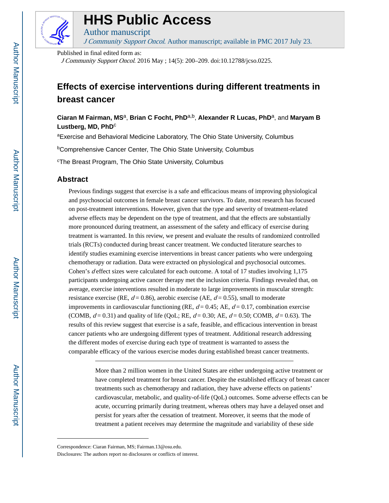

# **HHS Public Access**

J Community Support Oncol. Author manuscript; available in PMC 2017 July 23.

Published in final edited form as:

Author manuscript

J Community Support Oncol. 2016 May ; 14(5): 200–209. doi:10.12788/jcso.0225.

# **Effects of exercise interventions during different treatments in breast cancer**

**Ciaran M Fairman, MS**a, **Brian C Focht, PhD**a,b, **Alexander R Lucas, PhD**a, and **Maryam B Lustberg, MD, PhD**<sup>c</sup>

aExercise and Behavioral Medicine Laboratory, The Ohio State University, Columbus

<sup>b</sup>Comprehensive Cancer Center, The Ohio State University, Columbus

<sup>c</sup>The Breast Program, The Ohio State University, Columbus

## **Abstract**

Previous findings suggest that exercise is a safe and efficacious means of improving physiological and psychosocial outcomes in female breast cancer survivors. To date, most research has focused on post-treatment interventions. However, given that the type and severity of treatment-related adverse effects may be dependent on the type of treatment, and that the effects are substantially more pronounced during treatment, an assessment of the safety and efficacy of exercise during treatment is warranted. In this review, we present and evaluate the results of randomized controlled trials (RCTs) conducted during breast cancer treatment. We conducted literature searches to identify studies examining exercise interventions in breast cancer patients who were undergoing chemotherapy or radiation. Data were extracted on physiological and psychosocial outcomes. Cohen's *d* effect sizes were calculated for each outcome. A total of 17 studies involving 1,175 participants undergoing active cancer therapy met the inclusion criteria. Findings revealed that, on average, exercise interventions resulted in moderate to large improvements in muscular strength: resistance exercise (RE,  $d = 0.86$ ), aerobic exercise (AE,  $d = 0.55$ ), small to moderate improvements in cardiovascular functioning (RE,  $d = 0.45$ ; AE,  $d = 0.17$ , combination exercise (COMB,  $d = 0.31$ ) and quality of life (QoL; RE,  $d = 0.30$ ; AE,  $d = 0.50$ ; COMB,  $d = 0.63$ ). The results of this review suggest that exercise is a safe, feasible, and efficacious intervention in breast cancer patients who are undergoing different types of treatment. Additional research addressing the different modes of exercise during each type of treatment is warranted to assess the comparable efficacy of the various exercise modes during established breast cancer treatments.

> More than 2 million women in the United States are either undergoing active treatment or have completed treatment for breast cancer. Despite the established efficacy of breast cancer treatments such as chemotherapy and radiation, they have adverse effects on patients' cardiovascular, metabolic, and quality-of-life (QoL) outcomes. Some adverse effects can be acute, occurring primarily during treatment, whereas others may have a delayed onset and persist for years after the cessation of treatment. Moreover, it seems that the mode of treatment a patient receives may determine the magnitude and variability of these side

Correspondence: Ciaran Fairman, MS; Fairman.13@osu.edu.

Disclosures: The authors report no disclosures or conflicts of interest.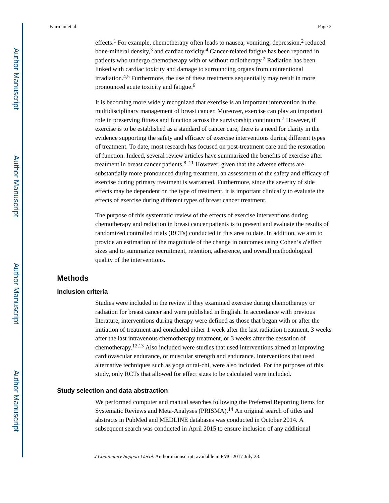effects.<sup>1</sup> For example, chemotherapy often leads to nausea, vomiting, depression,<sup>2</sup> reduced bone-mineral density,<sup>3</sup> and cardiac toxicity.<sup>4</sup> Cancer-related fatigue has been reported in patients who undergo chemotherapy with or without radiotherapy.<sup>2</sup> Radiation has been linked with cardiac toxicity and damage to surrounding organs from unintentional irradiation.<sup>4,5</sup> Furthermore, the use of these treatments sequentially may result in more pronounced acute toxicity and fatigue.<sup>6</sup>

It is becoming more widely recognized that exercise is an important intervention in the multidisciplinary management of breast cancer. Moreover, exercise can play an important role in preserving fitness and function across the survivorship continuum.<sup>7</sup> However, if exercise is to be established as a standard of cancer care, there is a need for clarity in the evidence supporting the safety and efficacy of exercise interventions during different types of treatment. To date, most research has focused on post-treatment care and the restoration of function. Indeed, several review articles have summarized the benefits of exercise after treatment in breast cancer patients. $8-11$  However, given that the adverse effects are substantially more pronounced during treatment, an assessment of the safety and efficacy of exercise during primary treatment is warranted. Furthermore, since the severity of side effects may be dependent on the type of treatment, it is important clinically to evaluate the effects of exercise during different types of breast cancer treatment.

The purpose of this systematic review of the effects of exercise interventions during chemotherapy and radiation in breast cancer patients is to present and evaluate the results of randomized controlled trials (RCTs) conducted in this area to date. In addition, we aim to provide an estimation of the magnitude of the change in outcomes using Cohen's  $d$  effect sizes and to summarize recruitment, retention, adherence, and overall methodological quality of the interventions.

### **Methods**

#### **Inclusion criteria**

Studies were included in the review if they examined exercise during chemotherapy or radiation for breast cancer and were published in English. In accordance with previous literature, interventions during therapy were defined as those that began with or after the initiation of treatment and concluded either 1 week after the last radiation treatment, 3 weeks after the last intravenous chemotherapy treatment, or 3 weeks after the cessation of chemotherapy.<sup>12,13</sup> Also included were studies that used interventions aimed at improving cardiovascular endurance, or muscular strength and endurance. Interventions that used alternative techniques such as yoga or tai-chi, were also included. For the purposes of this study, only RCTs that allowed for effect sizes to be calculated were included.

#### **Study selection and data abstraction**

We performed computer and manual searches following the Preferred Reporting Items for Systematic Reviews and Meta-Analyses (PRISMA).14 An original search of titles and abstracts in PubMed and MEDLINE databases was conducted in October 2014. A subsequent search was conducted in April 2015 to ensure inclusion of any additional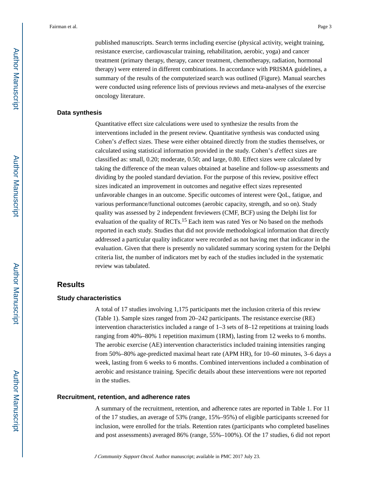published manuscripts. Search terms including exercise (physical activity, weight training, resistance exercise, cardiovascular training, rehabilitation, aerobic, yoga) and cancer treatment (primary therapy, therapy, cancer treatment, chemotherapy, radiation, hormonal therapy) were entered in different combinations. In accordance with PRISMA guidelines, a summary of the results of the computerized search was outlined (Figure). Manual searches were conducted using reference lists of previous reviews and meta-analyses of the exercise oncology literature.

#### **Data synthesis**

Quantitative effect size calculations were used to synthesize the results from the interventions included in the present review. Quantitative synthesis was conducted using Cohen's d effect sizes. These were either obtained directly from the studies themselves, or calculated using statistical information provided in the study. Cohen's d effect sizes are classified as: small, 0.20; moderate, 0.50; and large, 0.80. Effect sizes were calculated by taking the difference of the mean values obtained at baseline and follow-up assessments and dividing by the pooled standard deviation. For the purpose of this review, positive effect sizes indicated an improvement in outcomes and negative effect sizes represented unfavorable changes in an outcome. Specific outcomes of interest were QoL, fatigue, and various performance/functional outcomes (aerobic capacity, strength, and so on). Study quality was assessed by 2 independent freviewers (CMF, BCF) using the Delphi list for evaluation of the quality of RCTs.<sup>15</sup> Each item was rated Yes or No based on the methods reported in each study. Studies that did not provide methodological information that directly addressed a particular quality indicator were recorded as not having met that indicator in the evaluation. Given that there is presently no validated summary scoring system for the Delphi criteria list, the number of indicators met by each of the studies included in the systematic review was tabulated.

# **Results**

#### **Study characteristics**

A total of 17 studies involving 1,175 participants met the inclusion criteria of this review (Table 1). Sample sizes ranged from 20–242 participants. The resistance exercise (RE) intervention characteristics included a range of 1–3 sets of 8–12 repetitions at training loads ranging from 40%–80% 1 repetition maximum (1RM), lasting from 12 weeks to 6 months. The aerobic exercise (AE) intervention characteristics included training intensities ranging from 50%–80% age-predicted maximal heart rate (APM HR), for 10–60 minutes, 3–6 days a week, lasting from 6 weeks to 6 months. Combined interventions included a combination of aerobic and resistance training. Specific details about these interventions were not reported in the studies.

#### **Recruitment, retention, and adherence rates**

A summary of the recruitment, retention, and adherence rates are reported in Table 1. For 11 of the 17 studies, an average of 53% (range, 15%–95%) of eligible participants screened for inclusion, were enrolled for the trials. Retention rates (participants who completed baselines and post assessments) averaged 86% (range, 55%–100%). Of the 17 studies, 6 did not report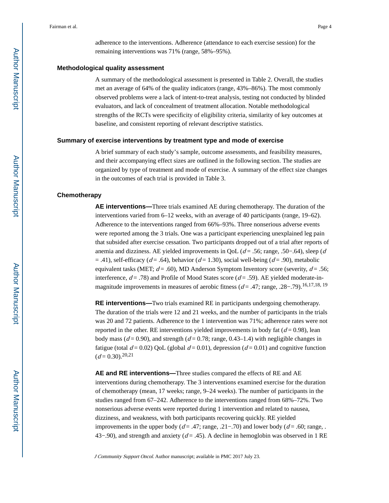adherence to the interventions. Adherence (attendance to each exercise session) for the remaining interventions was 71% (range, 58%–95%).

#### **Methodological quality assessment**

A summary of the methodological assessment is presented in Table 2. Overall, the studies met an average of 64% of the quality indicators (range, 43%–86%). The most commonly observed problems were a lack of intent-to-treat analysis, testing not conducted by blinded evaluators, and lack of concealment of treatment allocation. Notable methodological strengths of the RCTs were specificity of eligibility criteria, similarity of key outcomes at baseline, and consistent reporting of relevant descriptive statistics.

#### **Summary of exercise interventions by treatment type and mode of exercise**

A brief summary of each study's sample, outcome assessments, and feasibility measures, and their accompanying effect sizes are outlined in the following section. The studies are organized by type of treatment and mode of exercise. A summary of the effect size changes in the outcomes of each trial is provided in Table 3.

#### **Chemotherapy**

**AE interventions—**Three trials examined AE during chemotherapy. The duration of the interventions varied from 6–12 weeks, with an average of 40 participants (range, 19–62). Adherence to the interventions ranged from 66%–93%. Three nonserious adverse events were reported among the 3 trials. One was a participant experiencing unexplained leg pain that subsided after exercise cessation. Two participants dropped out of a trial after reports of anemia and dizziness. AE yielded improvements in QoL ( $d = .56$ ; range, .50–.64), sleep (d  $=$  .41), self-efficacy (d = .64), behavior (d = 1.30), social well-being (d = .90), metabolic equivalent tasks (MET;  $d = .60$ ), MD Anderson Symptom Inventory score (severity,  $d = .56$ ; interference,  $d = .78$ ) and Profile of Mood States score ( $d = .59$ ). AE yielded moderate-inmagnitude improvements in measures of aerobic fitness ( $d = .47$ ; range, .28–.79).<sup>16,17,18, 19</sup>

**RE interventions—**Two trials examined RE in participants undergoing chemotherapy. The duration of the trials were 12 and 21 weeks, and the number of participants in the trials was 20 and 72 patients. Adherence to the 1 intervention was 71%; adherence rates were not reported in the other. RE interventions yielded improvements in body fat  $(d = 0.98)$ , lean body mass ( $d = 0.90$ ), and strength ( $d = 0.78$ ; range, 0.43–1.4) with negligible changes in fatigue (total  $d = 0.02$ ) QoL (global  $d = 0.01$ ), depression ( $d = 0.01$ ) and cognitive function  $(d = 0.30)$ <sup>20,21</sup>

**AE and RE interventions—**Three studies compared the effects of RE and AE interventions during chemotherapy. The 3 interventions examined exercise for the duration of chemotherapy (mean, 17 weeks; range, 9–24 weeks). The number of participants in the studies ranged from 67–242. Adherence to the interventions ranged from 68%–72%. Two nonserious adverse events were reported during 1 intervention and related to nausea, dizziness, and weakness, with both participants recovering quickly. RE yielded improvements in the upper body ( $d = .47$ ; range, .21–.70) and lower body ( $d = .60$ ; range, . 43–.90), and strength and anxiety ( $d = .45$ ). A decline in hemoglobin was observed in 1 RE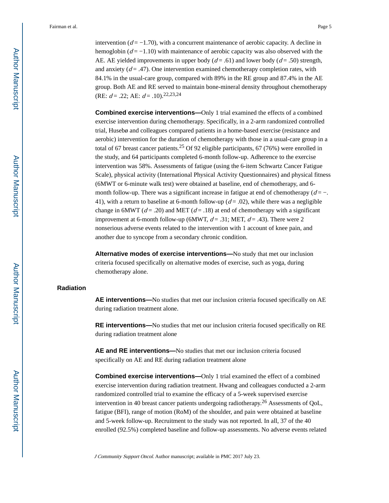intervention ( $d = -1.70$ ), with a concurrent maintenance of aerobic capacity. A decline in hemoglobin  $(d = -1.10)$  with maintenance of aerobic capacity was also observed with the AE. AE yielded improvements in upper body ( $d = .61$ ) and lower body ( $d = .50$ ) strength, and anxiety  $(d = .47)$ . One intervention examined chemotherapy completion rates, with 84.1% in the usual-care group, compared with 89% in the RE group and 87.4% in the AE group. Both AE and RE served to maintain bone-mineral density throughout chemotherapy (RE:  $d = .22$ ; AE:  $d = .10$ ).<sup>22,23,24</sup>

**Combined exercise interventions—**Only 1 trial examined the effects of a combined exercise intervention during chemotherapy. Specifically, in a 2-arm randomized controlled trial, Husebø and colleagues compared patients in a home-based exercise (resistance and aerobic) intervention for the duration of chemotherapy with those in a usual-care group in a total of 67 breast cancer patients.<sup>25</sup> Of 92 eligible participants, 67 (76%) were enrolled in the study, and 64 participants completed 6-month follow-up. Adherence to the exercise intervention was 58%. Assessments of fatigue (using the 6-item Schwartz Cancer Fatigue Scale), physical activity (International Physical Activity Questionnaires) and physical fitness (6MWT or 6-minute walk test) were obtained at baseline, end of chemotherapy, and 6 month follow-up. There was a significant increase in fatigue at end of chemotherapy  $(d = -1$ . 41), with a return to baseline at 6-month follow-up ( $d = .02$ ), while there was a negligible change in 6MWT ( $d = .20$ ) and MET ( $d = .18$ ) at end of chemotherapy with a significant improvement at 6-month follow-up (6MWT,  $d = .31$ ; MET,  $d = .43$ ). There were 2 nonserious adverse events related to the intervention with 1 account of knee pain, and another due to syncope from a secondary chronic condition.

**Alternative modes of exercise interventions—**No study that met our inclusion criteria focused specifically on alternative modes of exercise, such as yoga, during chemotherapy alone.

#### **Radiation**

**AE interventions—**No studies that met our inclusion criteria focused specifically on AE during radiation treatment alone.

**RE interventions—**No studies that met our inclusion criteria focused specifically on RE during radiation treatment alone

**AE and RE interventions—**No studies that met our inclusion criteria focused specifically on AE and RE during radiation treatment alone

**Combined exercise interventions—**Only 1 trial examined the effect of a combined exercise intervention during radiation treatment. Hwang and colleagues conducted a 2-arm randomized controlled trial to examine the efficacy of a 5-week supervised exercise intervention in 40 breast cancer patients undergoing radiotherapy.26 Assessments of QoL, fatigue (BFI), range of motion (RoM) of the shoulder, and pain were obtained at baseline and 5-week follow-up. Recruitment to the study was not reported. In all, 37 of the 40 enrolled (92.5%) completed baseline and follow-up assessments. No adverse events related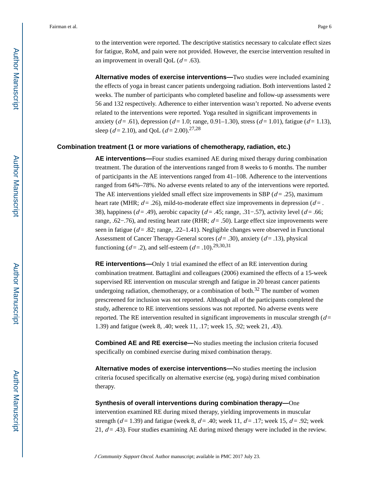to the intervention were reported. The descriptive statistics necessary to calculate effect sizes for fatigue, RoM, and pain were not provided. However, the exercise intervention resulted in an improvement in overall QoL ( $d = .63$ ).

**Alternative modes of exercise interventions—**Two studies were included examining the effects of yoga in breast cancer patients undergoing radiation. Both interventions lasted 2 weeks. The number of participants who completed baseline and follow-up assessments were 56 and 132 respectively. Adherence to either intervention wasn't reported. No adverse events related to the interventions were reported. Yoga resulted in significant improvements in anxiety ( $d = .61$ ), depression ( $d = 1.0$ ; range, 0.91–1.30), stress ( $d = 1.01$ ), fatigue ( $d = 1.13$ ), sleep ( $d = 2.10$ ), and QoL ( $d = 2.00$ ).<sup>27,28</sup>

#### **Combination treatment (1 or more variations of chemotherapy, radiation, etc.)**

**AE interventions—**Four studies examined AE during mixed therapy during combination treatment. The duration of the interventions ranged from 8 weeks to 6 months. The number of participants in the AE interventions ranged from 41–108. Adherence to the interventions ranged from 64%–78%. No adverse events related to any of the interventions were reported. The AE interventions yielded small effect size improvements in SBP ( $d = .25$ ), maximum heart rate (MHR;  $d = .26$ ), mild-to-moderate effect size improvements in depression ( $d = .$ 38), happiness (d = .49), aerobic capacity (d = .45; range, .31–.57), activity level (d = .66; range, .62–.76), and resting heart rate (RHR;  $d = .50$ ). Large effect size improvements were seen in fatigue ( $d = .82$ ; range, .22–1.41). Negligible changes were observed in Functional Assessment of Cancer Therapy-General scores ( $d = .30$ ), anxiety ( $d = .13$ ), physical functioning ( $d = .2$ ), and self-esteem ( $d = .10$ ).<sup>29,30,31</sup>

**RE interventions—**Only 1 trial examined the effect of an RE intervention during combination treatment. Battaglini and colleagues (2006) examined the effects of a 15-week supervised RE intervention on muscular strength and fatigue in 20 breast cancer patients undergoing radiation, chemotherapy, or a combination of both. $32$  The number of women prescreened for inclusion was not reported. Although all of the participants completed the study, adherence to RE interventions sessions was not reported. No adverse events were reported. The RE intervention resulted in significant improvements in muscular strength  $(d =$ 1.39) and fatigue (week 8, .40; week 11, .17; week 15, .92; week 21, .43).

**Combined AE and RE exercise—**No studies meeting the inclusion criteria focused specifically on combined exercise during mixed combination therapy.

**Alternative modes of exercise interventions—**No studies meeting the inclusion criteria focused specifically on alternative exercise (eg, yoga) during mixed combination therapy.

**Synthesis of overall interventions during combination therapy—**One intervention examined RE during mixed therapy, yielding improvements in muscular strength ( $d = 1.39$ ) and fatigue (week 8,  $d = .40$ ; week 11,  $d = .17$ ; week 15,  $d = .92$ ; week 21,  $d = .43$ ). Four studies examining AE during mixed therapy were included in the review.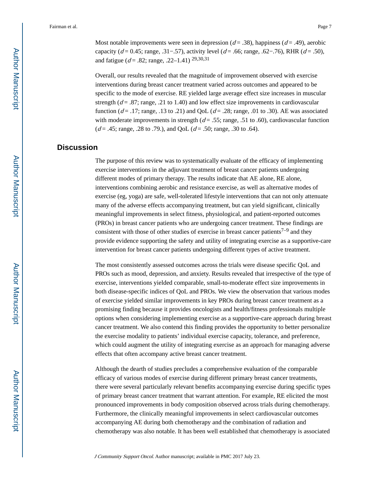Most notable improvements were seen in depression  $(d = .38)$ , happiness  $(d = .49)$ , aerobic capacity (d = 0.45; range, .31–.57), activity level (d = .66; range, .62–.76), RHR (d = .50), and fatigue ( $d = .82$ ; range, .22–1.41) <sup>29,30,31</sup>

Overall, our results revealed that the magnitude of improvement observed with exercise interventions during breast cancer treatment varied across outcomes and appeared to be specific to the mode of exercise. RE yielded large average effect size increases in muscular strength ( $d = .87$ ; range, .21 to 1.40) and low effect size improvements in cardiovascular function ( $d = .17$ ; range,  $.13$  to  $.21$ ) and QoL ( $d = .28$ ; range,  $.01$  to  $.30$ ). AE was associated with moderate improvements in strength ( $d = .55$ ; range, .51 to .60), cardiovascular function  $(d = .45; \text{range}, .28 \text{ to } .79)$ , and QoL  $(d = .50; \text{range}, .30 \text{ to } .64)$ .

## **Discussion**

The purpose of this review was to systematically evaluate of the efficacy of implementing exercise interventions in the adjuvant treatment of breast cancer patients undergoing different modes of primary therapy. The results indicate that AE alone, RE alone, interventions combining aerobic and resistance exercise, as well as alternative modes of exercise (eg, yoga) are safe, well-tolerated lifestyle interventions that can not only attenuate many of the adverse effects accompanying treatment, but can yield significant, clinically meaningful improvements in select fitness, physiological, and patient-reported outcomes (PROs) in breast cancer patients who are undergoing cancer treatment. These findings are consistent with those of other studies of exercise in breast cancer patients<sup> $7-9$ </sup> and they provide evidence supporting the safety and utility of integrating exercise as a supportive-care intervention for breast cancer patients undergoing different types of active treatment.

The most consistently assessed outcomes across the trials were disease specific QoL and PROs such as mood, depression, and anxiety. Results revealed that irrespective of the type of exercise, interventions yielded comparable, small-to-moderate effect size improvements in both disease-specific indices of QoL and PROs. We view the observation that various modes of exercise yielded similar improvements in key PROs during breast cancer treatment as a promising finding because it provides oncologists and health/fitness professionals multiple options when considering implementing exercise as a supportive-care approach during breast cancer treatment. We also contend this finding provides the opportunity to better personalize the exercise modality to patients' individual exercise capacity, tolerance, and preference, which could augment the utility of integrating exercise as an approach for managing adverse effects that often accompany active breast cancer treatment.

Although the dearth of studies precludes a comprehensive evaluation of the comparable efficacy of various modes of exercise during different primary breast cancer treatments, there were several particularly relevant benefits accompanying exercise during specific types of primary breast cancer treatment that warrant attention. For example, RE elicited the most pronounced improvements in body composition observed across trials during chemotherapy. Furthermore, the clinically meaningful improvements in select cardiovascular outcomes accompanying AE during both chemotherapy and the combination of radiation and chemotherapy was also notable. It has been well established that chemotherapy is associated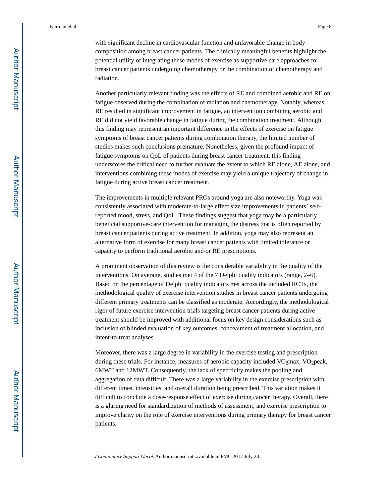with significant decline in cardiovascular function and unfavorable change in body composition among breast cancer patients. The clinically meaningful benefits highlight the potential utility of integrating these modes of exercise as supportive care approaches for breast cancer patients undergoing chemotherapy or the combination of chemotherapy and radiation.

Another particularly relevant finding was the effects of RE and combined aerobic and RE on fatigue observed during the combination of radiation and chemotherapy. Notably, whereas RE resulted in significant improvement in fatigue, an intervention combining aerobic and RE did not yield favorable change in fatigue during the combination treatment. Although this finding may represent an important difference in the effects of exercise on fatigue symptoms of breast cancer patients during combination therapy, the limited number of studies makes such conclusions premature. Nonetheless, given the profound impact of fatigue symptoms on QoL of patients during breast cancer treatment, this finding underscores the critical need to further evaluate the extent to which RE alone, AE alone, and interventions combining these modes of exercise may yield a unique trajectory of change in fatigue during active breast cancer treatment.

The improvements in multiple relevant PROs around yoga are also noteworthy. Yoga was consistently associated with moderate-to-large effect size improvements in patients' selfreported mood, stress, and QoL. These findings suggest that yoga may be a particularly beneficial supportive-care intervention for managing the distress that is often reported by breast cancer patients during active treatment. In addition, yoga may also represent an alternative form of exercise for many breast cancer patients with limited tolerance or capacity to perform traditional aerobic and/or RE prescriptions.

A prominent observation of this review is the considerable variability in the quality of the interventions. On average, studies met 4 of the 7 Delphi quality indicators (range, 2–6). Based on the percentage of Delphi quality indicators met across the included RCTs, the methodological quality of exercise intervention studies in breast cancer patients undergoing different primary treatments can be classified as moderate. Accordingly, the methodological rigor of future exercise intervention trials targeting breast cancer patients during active treatment should be improved with additional focus on key design considerations such as inclusion of blinded evaluation of key outcomes, concealment of treatment allocation, and intent-to-treat analyses.

Moreover, there was a large degree in variability in the exercise testing and prescription during these trials. For instance, measures of aerobic capacity included  $VO<sub>2</sub>$ max,  $VO<sub>2</sub>peak$ , 6MWT and 12MWT. Consequently, the lack of specificity makes the pooling and aggregation of data difficult. There was a large variability in the exercise prescription with different times, intensities, and overall duration being prescribed. This variation makes it difficult to conclude a dose-response effect of exercise during cancer therapy. Overall, there is a glaring need for standardization of methods of assessment, and exercise prescription to improve clarity on the role of exercise interventions during primary therapy for breast cancer patients.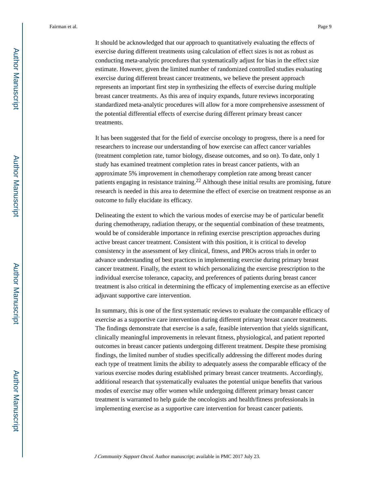It should be acknowledged that our approach to quantitatively evaluating the effects of exercise during different treatments using calculation of effect sizes is not as robust as conducting meta-analytic procedures that systematically adjust for bias in the effect size estimate. However, given the limited number of randomized controlled studies evaluating exercise during different breast cancer treatments, we believe the present approach represents an important first step in synthesizing the effects of exercise during multiple breast cancer treatments. As this area of inquiry expands, future reviews incorporating standardized meta-analytic procedures will allow for a more comprehensive assessment of the potential differential effects of exercise during different primary breast cancer treatments.

It has been suggested that for the field of exercise oncology to progress, there is a need for researchers to increase our understanding of how exercise can affect cancer variables (treatment completion rate, tumor biology, disease outcomes, and so on). To date, only 1 study has examined treatment completion rates in breast cancer patients, with an approximate 5% improvement in chemotherapy completion rate among breast cancer patients engaging in resistance training.22 Although these initial results are promising, future research is needed in this area to determine the effect of exercise on treatment response as an outcome to fully elucidate its efficacy.

Delineating the extent to which the various modes of exercise may be of particular benefit during chemotherapy, radiation therapy, or the sequential combination of these treatments, would be of considerable importance in refining exercise prescription approaches during active breast cancer treatment. Consistent with this position, it is critical to develop consistency in the assessment of key clinical, fitness, and PROs across trials in order to advance understanding of best practices in implementing exercise during primary breast cancer treatment. Finally, the extent to which personalizing the exercise prescription to the individual exercise tolerance, capacity, and preferences of patients during breast cancer treatment is also critical in determining the efficacy of implementing exercise as an effective adjuvant supportive care intervention.

In summary, this is one of the first systematic reviews to evaluate the comparable efficacy of exercise as a supportive care intervention during different primary breast cancer treatments. The findings demonstrate that exercise is a safe, feasible intervention that yields significant, clinically meaningful improvements in relevant fitness, physiological, and patient reported outcomes in breast cancer patients undergoing different treatment. Despite these promising findings, the limited number of studies specifically addressing the different modes during each type of treatment limits the ability to adequately assess the comparable efficacy of the various exercise modes during established primary breast cancer treatments. Accordingly, additional research that systematically evaluates the potential unique benefits that various modes of exercise may offer women while undergoing different primary breast cancer treatment is warranted to help guide the oncologists and health/fitness professionals in implementing exercise as a supportive care intervention for breast cancer patients.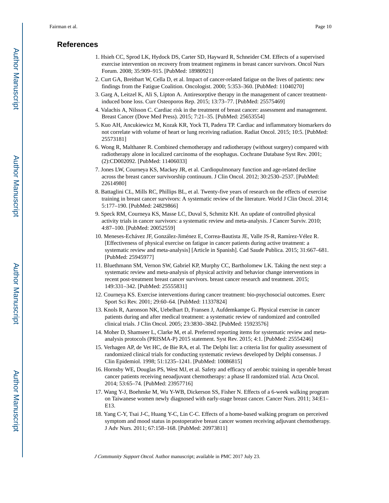# **References**

- 1. Hsieh CC, Sprod LK, Hydock DS, Carter SD, Hayward R, Schneider CM. Effects of a supervised exercise intervention on recovery from treatment regimens in breast cancer survivors. Oncol Nurs Forum. 2008; 35:909–915. [PubMed: 18980921]
- 2. Curt GA, Breitbart W, Cella D, et al. Impact of cancer-related fatigue on the lives of patients: new findings from the Fatigue Coalition. Oncologist. 2000; 5:353–360. [PubMed: 11040270]
- 3. Garg A, Leitzel K, Ali S, Lipton A. Antiresorptive therapy in the management of cancer treatmentinduced bone loss. Curr Osteoporos Rep. 2015; 13:73–77. [PubMed: 25575469]
- 4. Valachis A, Nilsson C. Cardiac risk in the treatment of breast cancer: assessment and management. Breast Cancer (Dove Med Press). 2015; 7:21–35. [PubMed: 25653554]
- 5. Kuo AH, Ancukiewicz M, Kozak KR, Yock TI, Padera TP. Cardiac and inflammatory biomarkers do not correlate with volume of heart or lung receiving radiation. Radiat Oncol. 2015; 10:5. [PubMed: 25573181]
- 6. Wong R, Malthaner R. Combined chemotherapy and radiotherapy (without surgery) compared with radiotherapy alone in localized carcinoma of the esophagus. Cochrane Database Syst Rev. 2001; (2):CD002092. [PubMed: 11406033]
- 7. Jones LW, Courneya KS, Mackey JR, et al. Cardiopulmonary function and age-related decline across the breast cancer survivorship continuum. J Clin Oncol. 2012; 30:2530–2537. [PubMed: 22614980]
- 8. Battaglini CL, Mills RC, Phillips BL, et al. Twenty-five years of research on the effects of exercise training in breast cancer survivors: A systematic review of the literature. World J Clin Oncol. 2014; 5:177–190. [PubMed: 24829866]
- 9. Speck RM, Courneya KS, Masse LC, Duval S, Schmitz KH. An update of controlled physical activity trials in cancer survivors: a systematic review and meta-analysis. J Cancer Surviv. 2010; 4:87–100. [PubMed: 20052559]
- 10. Meneses-Echávez JF, González-Jiménez E, Correa-Bautista JE, Valle JS-R, Ramírez-Vélez R. [Effectiveness of physical exercise on fatigue in cancer patients during active treatment: a systematic review and meta-analysis] [Article in Spanish]. Cad Saude Publica. 2015; 31:667–681. [PubMed: 25945977]
- 11. Bluethmann SM, Vernon SW, Gabriel KP, Murphy CC, Bartholomew LK. Taking the next step: a systematic review and meta-analysis of physical activity and behavior change interventions in recent post-treatment breast cancer survivors. breast cancer research and treatment. 2015; 149:331–342. [PubMed: 25555831]
- 12. Courneya KS. Exercise interventions during cancer treatment: bio-psychosocial outcomes. Exerc Sport Sci Rev. 2001; 29:60–64. [PubMed: 11337824]
- 13. Knols R, Aaronson NK, Uebelhart D, Fransen J, Aufdemkampe G. Physical exercise in cancer patients during and after medical treatment: a systematic review of randomized and controlled clinical trials. J Clin Oncol. 2005; 23:3830–3842. [PubMed: 15923576]
- 14. Moher D, Shamseer L, Clarke M, et al. Preferred reporting items for systematic review and metaanalysis protocols (PRISMA-P) 2015 statement. Syst Rev. 2015; 4:1. [PubMed: 25554246]
- 15. Verhagen AP, de Vet HC, de Bie RA, et al. The Delphi list: a criteria list for quality assessment of randomized clinical trials for conducting systematic reviews developed by Delphi consensus. J Clin Epidemiol. 1998; 51:1235–1241. [PubMed: 10086815]
- 16. Hornsby WE, Douglas PS, West MJ, et al. Safety and efficacy of aerobic training in operable breast cancer patients receiving neoadjuvant chemotherapy: a phase II randomized trial. Acta Oncol. 2014; 53:65–74. [PubMed: 23957716]
- 17. Wang Y-J, Boehmke M, Wu Y-WB, Dickerson SS, Fisher N. Effects of a 6-week walking program on Taiwanese women newly diagnosed with early-stage breast cancer. Cancer Nurs. 2011; 34:E1– E13.
- 18. Yang C-Y, Tsai J-C, Huang Y-C, Lin C-C. Effects of a home-based walking program on perceived symptom and mood status in postoperative breast cancer women receiving adjuvant chemotherapy. J Adv Nurs. 2011; 67:158–168. [PubMed: 20973811]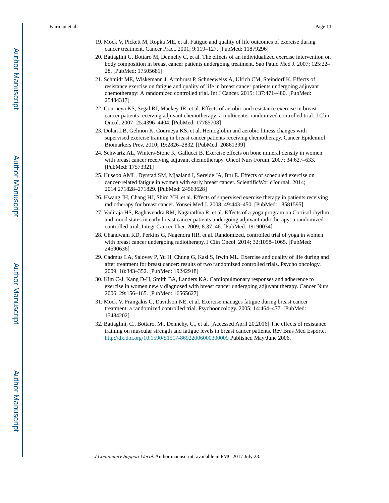- 19. Mock V, Pickett M, Ropka ME, et al. Fatigue and quality of life outcomes of exercise during cancer treatment. Cancer Pract. 2001; 9:119–127. [PubMed: 11879296]
- 20. Battaglini C, Bottaro M, Dennehy C, et al. The effects of an individualized exercise intervention on body composition in breast cancer patients undergoing treatment. Sao Paulo Med J. 2007; 125:22– 28. [PubMed: 17505681]
- 21. Schmidt ME, Wiskemann J, Armbrust P, Schneeweiss A, Ulrich CM, Steindorf K. Effects of resistance exercise on fatigue and quality of life in breast cancer patients undergoing adjuvant chemotherapy: A randomized controlled trial. Int J Cancer. 2015; 137:471–480. [PubMed: 25484317]
- 22. Courneya KS, Segal RJ, Mackey JR, et al. Effects of aerobic and resistance exercise in breast cancer patients receiving adjuvant chemotherapy: a multicenter randomized controlled trial. J Clin Oncol. 2007; 25:4396–4404. [PubMed: 17785708]
- 23. Dolan LB, Gelmon K, Courneya KS, et al. Hemoglobin and aerobic fitness changes with supervised exercise training in breast cancer patients receiving chemotherapy. Cancer Epidemiol Biomarkers Prev. 2010; 19:2826–2832. [PubMed: 20861399]
- 24. Schwartz AL, Winters-Stone K, Gallucci B. Exercise effects on bone mineral density in women with breast cancer receiving adjuvant chemotherapy. Oncol Nurs Forum. 2007; 34:627–633. [PubMed: 17573321]
- 25. Husebø AML, Dyrstad SM, Mjaaland I, Søreide JA, Bru E. Effects of scheduled exercise on cancer-related fatigue in women with early breast cancer. ScientificWorldJournal. 2014; 2014:271828–271829. [PubMed: 24563628]
- 26. Hwang JH, Chang HJ, Shim YH, et al. Effects of supervised exercise therapy in patients receiving radiotherapy for breast cancer. Yonsei Med J. 2008; 49:443–450. [PubMed: 18581595]
- 27. Vadiraja HS, Raghavendra RM, Nagarathna R, et al. Effects of a yoga program on Cortisol rhythm and mood states in early breast cancer patients undergoing adjuvant radiotherapy: a randomized controlled trial. Integr Cancer Ther. 2009; 8:37–46. [PubMed: 19190034]
- 28. Chandwani KD, Perkins G, Nagendra HR, et al. Randomized, controlled trial of yoga in women with breast cancer undergoing radiotherapy. J Clin Oncol. 2014; 32:1058–1065. [PubMed: 24590636]
- 29. Cadmus LA, Salovey P, Yu H, Chung G, Kasl S, Irwin ML. Exercise and quality of life during and after treatment for breast cancer: results of two randomized controlled trials. Psycho oncology. 2009; 18:343–352. [PubMed: 19242918]
- 30. Kim C-J, Kang D-H, Smith BA, Landers KA. Cardiopulmonary responses and adherence to exercise in women newly diagnosed with breast cancer undergoing adjuvant therapy. Cancer Nurs. 2006; 29:156–165. [PubMed: 16565627]
- 31. Mock V, Frangakis C, Davidson NE, et al. Exercise manages fatigue during breast cancer treatment: a randomized controlled trial. Psychooncology. 2005; 14:464–477. [PubMed: 15484202]
- 32. Battaglini, C., Bottaro, M., Dennehy, C., et al. [Accessed April 20,2016] The effects of resistance training on muscular strength and fatigue levels in breast cancer patients. Rev Bras Med Esporte. <http://dx.doi.org/10.1590/S1517-86922006000300009> Published May/June 2006.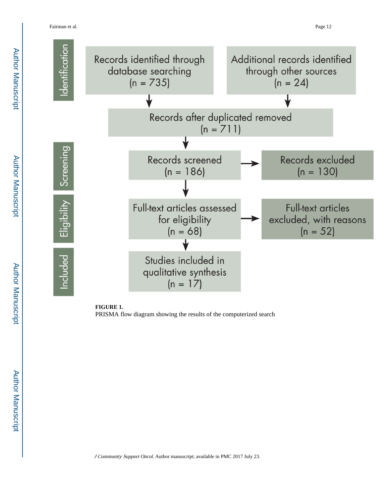Fairman et al. Page 12



**FIGURE 1.** 

PRISMA flow diagram showing the results of the computerized search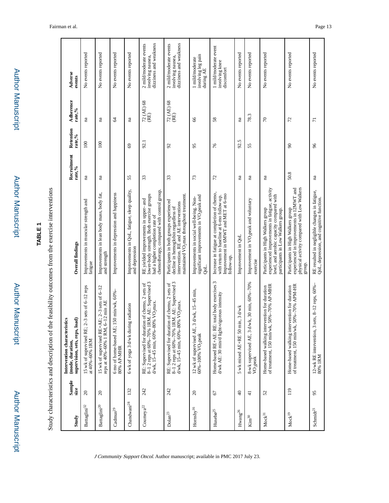Author Manuscript**Author Manuscript** 

Author Manuscript

Author Manuscript

г

# **TABLE 1**

Study characteristics and description of the feasibility outcomes from the exercise interventions Study characteristics and description of the feasibility outcomes from the exercise interventions

| Study                                    | Sample<br>size | $\mathbf{bad}$<br>Intervention characteristics<br>supervision, sets, reps,<br>(mode, duration,                                                   | <b>Overall findings</b>                                                                                                                                                         | Recruitment<br>rate,% | Retention<br>$\mathrm{rate},\%$ | Adherence<br>rate,%            | Adverse<br>events                                                     |
|------------------------------------------|----------------|--------------------------------------------------------------------------------------------------------------------------------------------------|---------------------------------------------------------------------------------------------------------------------------------------------------------------------------------|-----------------------|---------------------------------|--------------------------------|-----------------------------------------------------------------------|
| $\mathbf{B}$ attaglini $^{32}$           | $20\,$         | $2-3$ sets of $6-12$ reps<br>15 wk of supervised RE;<br>at 40%–60% IRM                                                                           | Improvements in muscular strength and<br>fatigue                                                                                                                                | na                    | 100                             | $\mathbf{a}$                   | No events reported                                                    |
| Battaglini <sup>20</sup>                 | $\Omega$       | AE; 2-3 sets of 6-12<br>$6-12$ min AE<br>15 wk of supervised RE+<br>reps at 40%-60% 1 RM,                                                        | Improvements in lean body mass, body fat,<br>and strength                                                                                                                       | na                    | 100                             | na                             | No events reported                                                    |
| $\mathrm{Cadmus}^{29}$                   |                | 150 min/wk, 60%<br>$6$ mo of home-based AE; $80\%$ AP-MHR                                                                                        | Improvements in depression and happiness                                                                                                                                        |                       |                                 | 2                              | No events reported                                                    |
| ${\it Chandwani^{28}}$                   | 132            | ng radiation<br>6 wk of yoga 3 d/wk duri                                                                                                         | Improvements in QoL, fatigue, sleep quality,<br>and depression                                                                                                                  | 55                    | 69                              | na                             | No events reported                                                    |
| $\mbox{Comneya}^{22}$                    | 242            | RM. AE: Supervised 3<br>RE: Supervised for duration of chemo, 2 sets of<br>d/wk, 15-45 min, 60%-80% VO <sub>2</sub> max.<br>8-12 reps at 60%-70% | chemotherapy, compared with control group.<br>lower-body strength. Both exercise groups<br>RE yielded improvements in upper- and<br>had a higher completion rate of             | 33                    | $\overline{5}$                  | $72\,(\mathrm{AE})$ 68<br>(RE) | dizziness and weakness<br>2 mild/moderate events<br>involving nausea, |
| $\rm{Dolan}^{\rm{23}}$                   | 242            | RM. AE: Supervised 3<br>RE: Supervised for duration of chemo, 2 sets of<br>d/wk, 15-45 min, 60%-80% $VO2$ max.<br>8-12 reps at 60%-70%           | maintained VO <sub>2</sub> max throughout treatment.<br>Participants in both groups experienced<br>intervention. RE and AE interventions<br>decline in hemoglobin regardless of | 33                    | 56                              | $72\mbox{ (AE)}$ 68 (RE)       | dizziness and weakness<br>2 mild/moderate events<br>involving nausea, |
| Hornsby <sup>16</sup>                    | $\Omega$       | 3 d/wk, 15-45 min,<br>12 wk of supervised AE,<br>60%-100% $\rm VO_2$ peak                                                                        | significant improvements in VO <sub>2</sub> peak and<br>Improvements in social well-being. Non-<br>d.                                                                           | 73                    | 95                              | 86                             | involving leg pain<br>during AE<br>1 mild/moderate                    |
| Huseb $\varphi^{25}$                     | 67             | Home-based RE+AE: RE: total body exercises 3<br>d/wk AE: 30 min/d light-vigorous intensity                                                       | Increase in fatigue at completion of chemo,<br>Improvement in 6MWT and MET at 6-mo<br>with return to baseline at 6-mo follow-up.<br>follow-up.                                  | 72                    | 76                              | 58                             | 1 mild/moderate event<br>involving knee<br>discomfort                 |
| Hwang <sup>26</sup>                      | $\overline{4}$ | 5 wk mixed AE+RE 50 min, 3 d/wk                                                                                                                  | Improvement in QoL                                                                                                                                                              | na                    | 92.5                            | na                             | No events reported                                                    |
| $\mathrm{Kim^{30}}$                      | $\frac{1}{4}$  | wk, 30 min, 60%-70%<br>8-wk supervised AE, 3 d/<br>VO <sub>2</sub> peak                                                                          | Improvement in VO <sub>2</sub> peak and voluntary<br>exercise                                                                                                                   | na                    | 55                              | 78.3                           | No events reported                                                    |
| $\ensuremath{\mathsf{Mock}}\xspace^{31}$ | 52             | of treatment, 150 min/wk, 50%-70% AP-MHR<br>Home-based walking intervention for duration                                                         | experienced improvements in fatigue, activity<br>level, and aerobic capacity compared with<br>participants in Low Walkers group.<br>Participants in High Walkers group          | na                    |                                 | $\mathcal{L}$                  | No events reported                                                    |
| $\mathbf{Mock}^{19}$                     | 119            | of treatment, 150 min/wk, 50%-70% APM-HR<br>Home-based walking intervention for duration                                                         | physical activity compared with Low Walkers<br>experienced in improvements in 12MWT and<br>Participants in High Walkers group<br>group.                                         | 50.8                  | $\infty$                        | 72                             | No events reported                                                    |
| $Schmid^{21}$                            | 95             | sets, 8-12 reps, 60%-<br>$12\mbox{-wk}$ RE intervention, 3 $80\%$ 1<br>RM                                                                        | RE resulted in negligible changes in fatigue,<br>QoL, depression, and cognitive function.                                                                                       | na                    | 96                              | $\overline{7}$                 | No events reported                                                    |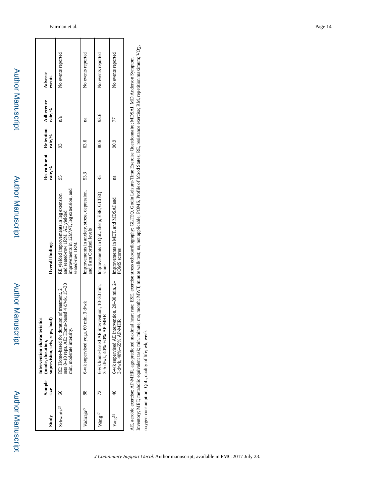Author Manuscript **Author Manuscript**  ľ

Author Manuscript

**Author Manuscript** 

| Study                  | Sample | load)<br>istics<br>Intervention characteri<br>supervision, sets, reps,<br>mode, duration,                                                                                          | <b>Overall findings</b>                                                                                                                    | Recruitment Retention Adherence<br>rate.% | rate,% | rate,%       | Adverse<br>events  |
|------------------------|--------|------------------------------------------------------------------------------------------------------------------------------------------------------------------------------------|--------------------------------------------------------------------------------------------------------------------------------------------|-------------------------------------------|--------|--------------|--------------------|
| Schwartz <sup>24</sup> |        | sets 8-10 reps. AE: Home-based 4 d/wk, 15-30<br>RE: Home-based for duration of treatment, 2<br>min, moderate intensity.                                                            | improvements in 12MWT, leg extension, and<br>RE yielded improvements in leg extension<br>and seated-row 1RM. AE vielded<br>seated-row 1RM. |                                           |        | n/a          | No events reported |
| Vadiraja <sup>27</sup> | x      | 6-wk supervised yoga, 60 min, 3 d/wk                                                                                                                                               | Improvements in anxiety, stress, depression,<br>and 6 am Cortisol levels                                                                   | 53.3                                      | 63.6   | $\mathbf{a}$ | No events reported |
| Wang <sup>17</sup>     |        | 6-wk home-based AE intervention, 10-30 min,<br>3-5 d/wk, 40%-60% AP-MHR                                                                                                            | Improvements in QoL, sleep, ESE, GLTEQ<br>score                                                                                            |                                           | 80.6   | 93.6         | No events reported |
| Yang <sup>18</sup>     |        | 6-wk supervised AE intervention, $20-30$ min, $2-$ Improvements in MET, and MDSAI and<br>3 d/wk, 40%-65% AP-MHR                                                                    | POMS scores                                                                                                                                |                                           | 90.9   |              | No events reported |
|                        |        | AE, aerobic exercise: AP-MHR, age-predicted maximal heart rate: FSE, exercise stress echocardiography: GLTEO, Godin Leisure-Time Exercise, Ouestionnaire: MDSALMD Anderson Symptom |                                                                                                                                            |                                           |        |              |                    |

AL), actoole exercise, At "MILN, age preducter maximal near rate, LoLD, exercise sures conceationgraphy, OLLD-Q, O'Oum Leisure Time Lixetion (MODIAL), MILT, metabolic equivalent task; min, minute; mo, month; MWT, minute wa Inventory; MET, metabolic equivalent task; min, minute; mo, month; MWT, minute walk test; na, not applicable; POMS, Profile of Mood States; RE, resistance exercise; RM, repetition maximum; VO2, AE, aerobic exercise; AP-MHR, age-predicted maximal heart rate; ESE, exercise stress echocardiography; GLTEQ, Godin Leisure-Time Exercise Questionnaire; MDSAI, MD Anderson Symptom oxygen consumption; QoL, quality of life; wk, week oxygen consumption; QoL, quality of life; wk, week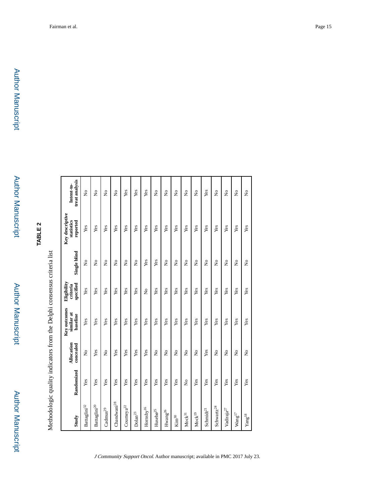**TABLE 2**

Methodologic quality indicators from the Delphi consensus criteria list Methodologic quality indicators from the Delphi consensus criteria list

| Study                    | Randomized    | Allocation<br>concealed | Key outcomes<br>similar at<br>baseline | Eligibility<br>specified<br>criteria | Single blind               | Key descriptive<br>statistics<br>reported | treat analysis<br>Intent-to- |
|--------------------------|---------------|-------------------------|----------------------------------------|--------------------------------------|----------------------------|-------------------------------------------|------------------------------|
| Battaglini <sup>32</sup> | Yes           | $\tilde{z}$             | Yes                                    | Yes                                  | $\frac{1}{2}$              | Yes                                       | Σò                           |
| Battaglini <sup>20</sup> | Yes           | Yes                     | Yes                                    | Yes                                  | $\tilde{\mathbf{z}}$       | Yes                                       | Ş                            |
| Cadmus <sup>29</sup>     | Yes           | $\tilde{z}$             | Yes                                    | Yes                                  | $\tilde{z}$                | Yes                                       | $\tilde{z}$                  |
| Chandwani <sup>28</sup>  | Yes           | Yes                     | Yes                                    | Yes                                  | $\tilde{z}$                | Yes                                       | Ş                            |
| $\rm{Comneya}^{22}$      | Yes           | Yes                     | Yes                                    | Yes                                  | $\tilde{z}$                | Yes                                       | Yes                          |
| $\rm{Dolan}^{23}$        | Yes           | Yes                     | Yes                                    | Yes                                  | $\tilde{z}$                | Yes                                       | Yes                          |
| Hornsby <sup>16</sup>    | Yes           | Yes                     | Yes                                    | $\tilde{\mathbf{z}}$                 | Yes                        | Yes                                       | Yes                          |
| Huseb $\phi^{25}$        | Yes           | $\frac{1}{2}$           | Yes                                    | Yes                                  | Yes                        | Yes                                       | Ş                            |
| Hwang <sup>26</sup>      | Yes           | $\frac{1}{2}$           | Yes                                    | Yes                                  | $\tilde{\mathbf{z}}$       | Yes                                       | $\frac{1}{2}$                |
| $\mathrm{Kim^{30}}$      | Yes           | Σò                      | Yes                                    | Yes                                  | $\tilde{z}$                | Yes                                       | Ş                            |
| $\mathbf{Mock}^{31}$     | $\frac{1}{2}$ | $\frac{1}{2}$           | Yes                                    | Yes                                  | $\tilde{\mathbf{z}}$       | Yes                                       | ż                            |
| ${\sf Mock}^{19}$        | Yes           | $\tilde{z}$             | Yes                                    | Yes                                  | $\tilde{z}$                | Yes                                       | $\tilde{z}$                  |
| Schmidt <sup>21</sup>    | Yes           | Yes                     | Yes                                    | Yes                                  | $\tilde{\mathbf{z}}$       | Yes                                       | Yes                          |
| Schwartz <sup>24</sup>   | Yes           | $\frac{1}{2}$           | Yes                                    | Yes                                  | $\tilde{\mathbf{z}}$       | Yes                                       | ż                            |
| Vadiraja <sup>27</sup>   | Yes           | $\frac{1}{2}$           | Yes                                    | Yes                                  | $\frac{1}{2}$              | Yes                                       | Ş                            |
| Wang <sup>17</sup>       | Yes           | 2                       | Yes                                    | Yes                                  | $\frac{\circ}{\mathsf{Z}}$ | Yes                                       | ş                            |
| $\mathbf{Yang}^{18}$     | Yes           | $\tilde{z}$             | Yes                                    | Yes                                  | $\overline{\mathsf{x}}$    | Yes                                       | $\tilde{z}$                  |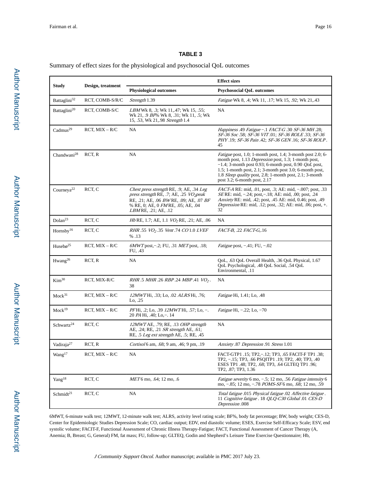#### **TABLE 3**

Summary of effect sizes for the physiological and psychosocial QoL outcomes

|                          |                     |                                                                                                                                                                                                      | <b>Effect sizes</b>                                                                                                                                                                                                                                                                                                                                         |
|--------------------------|---------------------|------------------------------------------------------------------------------------------------------------------------------------------------------------------------------------------------------|-------------------------------------------------------------------------------------------------------------------------------------------------------------------------------------------------------------------------------------------------------------------------------------------------------------------------------------------------------------|
| Study                    | Design, treatment   | <b>Physiological outcomes</b>                                                                                                                                                                        | <b>Psychosocial QoL outcomes</b>                                                                                                                                                                                                                                                                                                                            |
| Battaglini <sup>32</sup> | RCT, COMB-S/R/C     | Strength 1.39                                                                                                                                                                                        | Fatigue Wk 8, .4; Wk 11, .17; Wk 15, .92; Wk 21,.43                                                                                                                                                                                                                                                                                                         |
| Battaglini <sup>20</sup> | RCT, COMB-S/C       | <i>LBM</i> Wk 8, .3; Wk 11, 47; Wk 15, .55;<br>Wk 21, 9 BP% Wk 8, 31; Wk 11, 5; Wk<br>15, .53, Wk 21, .98 Strength 1.4                                                                               | <b>NA</b>                                                                                                                                                                                                                                                                                                                                                   |
| Cadmus <sup>29</sup>     | $RCT$ , $MIX - R/C$ | <b>NA</b>                                                                                                                                                                                            | Happiness .49 Fatigue - .1 FACT-G .30 SF-36 MH .28;<br>SF-36 Soc .58; SF-36 VIT .01; SF-36 ROLE .33; SF-36<br>PHY 19: SF-36 Pain 42; SF-36 GEN 16; SF-36 ROLP.<br>45                                                                                                                                                                                        |
| Chandwani <sup>28</sup>  | RCT, R              | NA                                                                                                                                                                                                   | <i>Fatigue</i> post, 1.0; 1-month post, 1.4; 3-month post 2.0; 6-<br>month post, 1.13 Depression post, 1.3; 1-month post,<br>$-1.4$ ; 3-month post 0.93; 6-month post, 0.90 <i>QoL</i> post,<br>$1.5$ ; 1-month post, $2.1$ ; 3-month post $3.0$ ; 6-month post,<br>1.8 Sleep quality post, 2.8; 1-month post, 2.1; 3-month<br>post 3.2; 6-month post, 2.17 |
| Courneya <sup>22</sup>   | RCT, C              | Chest press strength RE, .9; AE, .34 Leg<br>press strength RE, .7; AE, .25 $VO_2$ peak<br>RE, .21; AE, .06 BWRE, .09; AE, .07 BF<br>% RE, 0; AE, 0 <i>FM</i> RE, .05; AE, .04<br>LBMRE, .21; AE, .12 | <i>FACT-A RE: mid, .01, post, .3; AE: mid, -.007; post, .33</i><br>SERE: mid, -.24; post, -.18; AE: mid, .00; post, .24<br>Anxiety RE: mid, .42; post, .45 AE: mid, 0.46; post, .49<br><i>Depression RE: mid, .12; post, .32; AE: mid, .06; post, +.</i><br>32                                                                                              |
| Dolan <sup>23</sup>      | RCT, C              | <i>Hb</i> RE, 1.7; AE, 1.1 $VO_2$ RE, .21; AE, .06                                                                                                                                                   | NA                                                                                                                                                                                                                                                                                                                                                          |
| Hornsby <sup>16</sup>    | RCT, C              | RHR .55 VO <sub>2</sub> .35 Vent .74 CO 1.0 LVEF<br>% 13                                                                                                                                             | FACT-B, .22 FACT-G, 16                                                                                                                                                                                                                                                                                                                                      |
| Huseb $\varphi^{25}$     | $RCT$ , $MIX - R/C$ | $6MWT$ post, $-2$ ; FU, .31 <i>MET</i> post, .18;<br>FU. .43                                                                                                                                         | <i>Fatigue</i> post, $-.41$ ; FU, $-.02$                                                                                                                                                                                                                                                                                                                    |
| Hwang <sup>26</sup>      | RCT, R              | NA                                                                                                                                                                                                   | QoL, .63 QoL Overall Health, .36 QoL Physical, 1.67<br>QoL Psychological, .48 QoL Social, .54 QoL<br>Environmental, .11                                                                                                                                                                                                                                     |
| Kim <sup>30</sup>        | RCT, MIX-R/C        | RHR .5 MHR .26 RBP .24 MBP .41 VO <sub>2</sub> .<br>38                                                                                                                                               | <b>NA</b>                                                                                                                                                                                                                                                                                                                                                   |
| Mock <sup>31</sup>       | $RCT$ , $MIX - R/C$ | <i>12MWT</i> Hi, .33; Lo, .02 <i>ALRS</i> Hi, .76;<br>Lo, $.25$                                                                                                                                      | Fatigue Hi, 1.41; Lo, .48                                                                                                                                                                                                                                                                                                                                   |
| Mock <sup>19</sup>       | $RCT$ , $MIX - R/C$ | PFHi, .2; Lo, .39 12MWTHi, .57; Lo, -.<br>20 PA Hi, .40; Lo,-. 14                                                                                                                                    | Fatigue Hi, -.22; Lo, -70                                                                                                                                                                                                                                                                                                                                   |
| Schwartz <sup>24</sup>   | RCT, C              | 12MWT AE, .79; RE, .13 OHP strength<br>AE, .24; RE, .21 <i>SR strength</i> AE, .61;<br>RE, .5 Leg ext strength AE, .5; RE, .45                                                                       | NA                                                                                                                                                                                                                                                                                                                                                          |
| Vadiraja <sup>27</sup>   | RCT, R              | Cortisol 6 am, .68; 9 am, .46; 9 pm, .19                                                                                                                                                             | Anxiety .87 Depression .91 Stress 1.01                                                                                                                                                                                                                                                                                                                      |
| Wang <sup>17</sup>       | $RCT$ , $MIX - R/C$ | <b>NA</b>                                                                                                                                                                                            | FACT-GTP1 .15; TP2,-.12; TP3, .65 FACIT-F TP1 .38;<br>TP2, -.15; TP3, .66 PSOITP1 .19; TP2, .40; TP3, .40<br>ESES TP1 .48; TP2, .68; TP3, .64 GLTEQ TP1 .96;<br>TP2, .87; TP3, 1.36                                                                                                                                                                         |
| Yang <sup>18</sup>       | RCT, C              | $MET6$ mo, .64; 12 mo, .6                                                                                                                                                                            | Fatigue severity 6 mo, -.5; 12 mo, .56 Fatigue intensity 6<br>mo, $-.85$ ; 12 mo, $-.78$ <i>POMS-SF</i> 6 mo, .68; 12 mo, .59                                                                                                                                                                                                                               |
| $Schmidt^{21}$           | RCT, C              | <b>NA</b>                                                                                                                                                                                            | Total fatigue .015 Physical fatigue .02 Affective fatigue.<br>11 Cognitive fatigue . 18 QLQ-C30 Global .01 CES-D<br>Depression .008                                                                                                                                                                                                                         |

6MWT, 6-minute walk test; 12MWT, 12-minute walk test; ALRS, activity level rating scale; BF%, body fat percentage; BW, body weight; CES-D, Center for Epidemiologic Studies Depression Scale; CO, cardiac output; EDV, end diastolic volume; ESES, Exercise Self-Efficacy Scale; ESV, end systolic volume; FACIT-F, Functional Assessment of Chronic Illness Therapy-Fatigue; FACT, Functional Assessment of Cancer Therapy (A, Anemia; B, Breast; G, General) FM, fat mass; FU, follow-up; GLTEQ, Godin and Shepherd's Leisure Time Exercise Questionnaire; Hb,